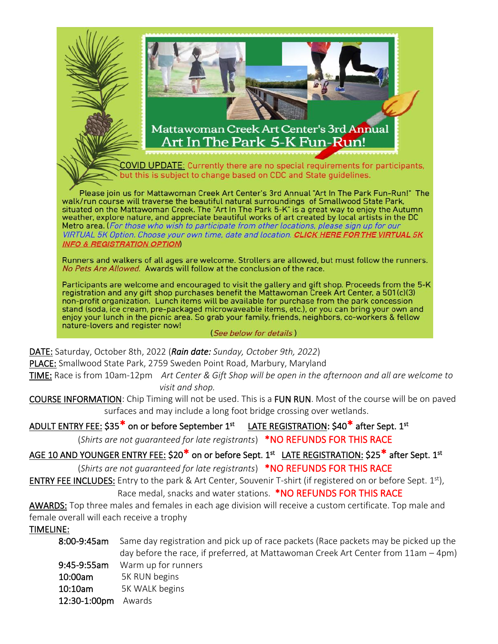

Participants are welcome and encouraged to visit the gallery and gift shop. Proceeds from the 5-K registration and any gift shop purchases benefit the Mattawoman Creek Art Center, a 501(c)(3) non-profit organization. Lunch items will be available for purchase from the park concession stand (soda, ice cream, pre-packaged microwaveable items, etc.), or you can bring your own and enjoy your lunch in the picnic area. So grab your family, friends, neighbors, co-workers & fellow nature-lovers and register now!

#### (See below for details)

DATE: Saturday, October 8th, 2022 (*Rain date: Sunday, October 9th, 2022*)

PLACE: Smallwood State Park, 2759 Sweden Point Road, Marbury, Maryland

TIME: Race is from 10am-12pm *Art Center & Gift Shop will be open in the afternoon and all are welcome to visit and shop.*

COURSE INFORMATION: Chip Timing will not be used. This is a FUN RUN. Most of the course will be on paved surfaces and may include a long foot bridge crossing over wetlands.

### <mark>ADULT ENTRY FEE:</mark> \$35<sup>\*</sup> on or before September 1<sup>st</sup> LATE REGISTRATION: \$40<sup>\*</sup> after Sept. 1<sup>st</sup>

(*Shirts are not guaranteed for late registrants*) \*NO REFUNDS FOR THIS RACE

## AGE 10 AND YOUNGER ENTRY FEE: \$20<sup>\*</sup> on or before Sept. 1<sup>st</sup> LATE REGISTRATION: \$25<sup>\*</sup> after Sept. 1<sup>st</sup>

(*Shirts are not guaranteed for late registrants*) \*NO REFUNDS FOR THIS RACE

ENTRY FEE INCLUDES: Entry to the park & Art Center, Souvenir T-shirt (if registered on or before Sept. 1st),

Race medal, snacks and water stations. \*NO REFUNDS FOR THIS RACE

### AWARDS: Top three males and females in each age division will receive a custom certificate. Top male and female overall will each receive a trophy

#### TIMELINE:

| 8:00-9:45am  | Same day registration and pick up of race packets (Race packets may be picked up the  |
|--------------|---------------------------------------------------------------------------------------|
|              | day before the race, if preferred, at Mattawoman Creek Art Center from $11am - 4pm$ ) |
| 9:45-9:55am  | Warm up for runners                                                                   |
| 10:00am      | 5K RUN begins                                                                         |
| $10:10$ am   | 5K WALK begins                                                                        |
| 12:30-1:00pm | Awards                                                                                |